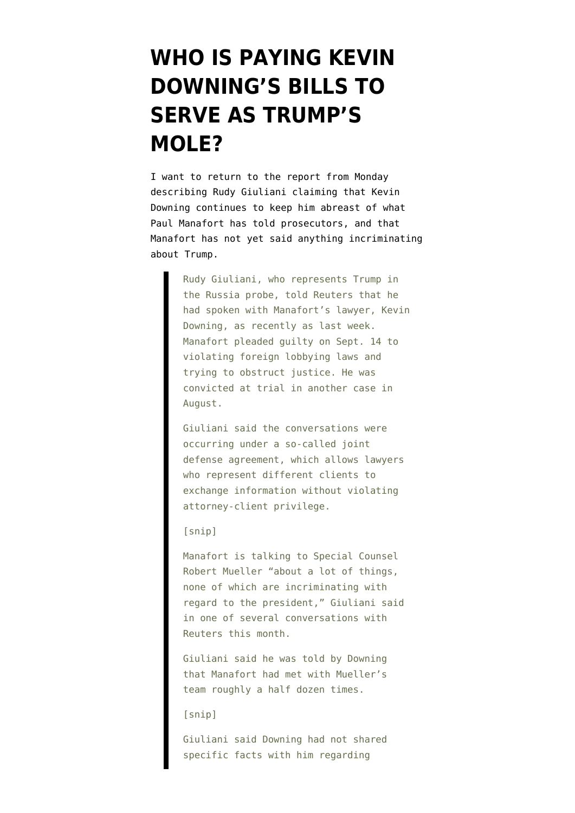## **[WHO IS PAYING KEVIN](https://www.emptywheel.net/2018/10/24/who-is-paying-kevin-downings-bills-to-serve-as-trumps-mole/) [DOWNING'S BILLS TO](https://www.emptywheel.net/2018/10/24/who-is-paying-kevin-downings-bills-to-serve-as-trumps-mole/) [SERVE AS TRUMP'S](https://www.emptywheel.net/2018/10/24/who-is-paying-kevin-downings-bills-to-serve-as-trumps-mole/) [MOLE?](https://www.emptywheel.net/2018/10/24/who-is-paying-kevin-downings-bills-to-serve-as-trumps-mole/)**

I want to return to the [report](https://www.reuters.com/article/us-usa-trump-giuliani/trump-lawyer-manafort-said-nothing-damaging-in-mueller-interviews-idUSKCN1MW2U8) from Monday describing Rudy Giuliani claiming that Kevin Downing continues to keep him abreast of what Paul Manafort has told prosecutors, and that Manafort has not yet said anything incriminating about Trump.

> Rudy Giuliani, who represents Trump in the Russia probe, told Reuters that he had spoken with Manafort's lawyer, Kevin Downing, as recently as last week. Manafort pleaded guilty on Sept. 14 to violating foreign lobbying laws and trying to obstruct justice. He was convicted at trial in another case in August.

Giuliani said the conversations were occurring under a so-called joint defense agreement, which allows lawyers who represent different clients to exchange information without violating attorney-client privilege.

## [snip]

Manafort is talking to Special Counsel Robert Mueller "about a lot of things, none of which are incriminating with regard to the president," Giuliani said in one of several conversations with Reuters this month.

Giuliani said he was told by Downing that Manafort had met with Mueller's team roughly a half dozen times.

## [snip]

Giuliani said Downing had not shared specific facts with him regarding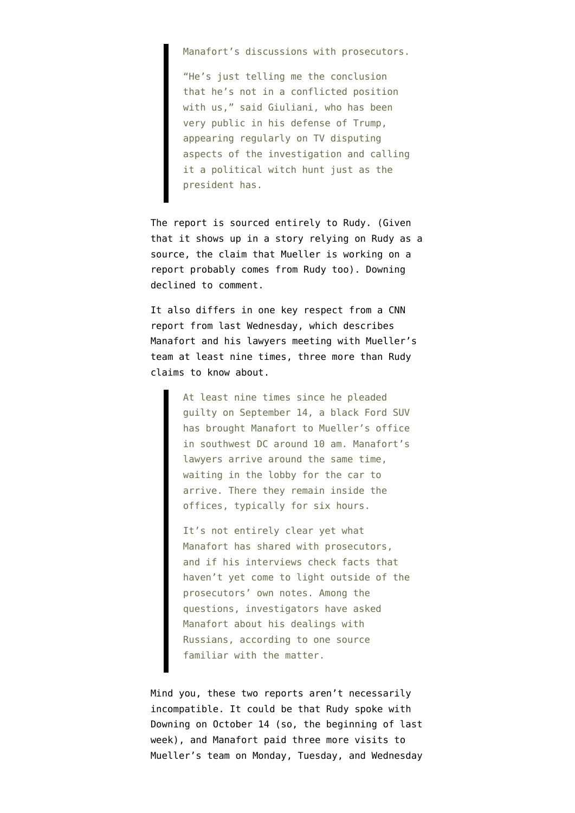Manafort's discussions with prosecutors.

"He's just telling me the conclusion that he's not in a conflicted position with us," said Giuliani, who has been very public in his defense of Trump, appearing regularly on TV disputing aspects of the investigation and calling it a political witch hunt just as the president has.

The report is sourced entirely to Rudy. (Given that it shows up in a story relying on Rudy as a source, the claim that Mueller is working on a report probably comes from Rudy too). Downing declined to comment.

It also differs in one key respect from [a CNN](https://www.cnn.com/2018/10/17/politics/muellers-quiet-period-has-not-been-very-quiet/index.html) [report](https://www.cnn.com/2018/10/17/politics/muellers-quiet-period-has-not-been-very-quiet/index.html) from last Wednesday, which describes Manafort and his lawyers meeting with Mueller's team at least nine times, three more than Rudy claims to know about.

> At least nine times since he pleaded guilty on September 14, a black Ford SUV has brought Manafort to Mueller's office in southwest DC around 10 am. Manafort's lawyers arrive around the same time, waiting in the lobby for the car to arrive. There they remain inside the offices, typically for six hours.

> It's not entirely clear yet what Manafort has shared with prosecutors, and if his interviews check facts that haven't yet come to light outside of the prosecutors' own notes. Among the questions, investigators have asked Manafort about his dealings with Russians, according to one source familiar with the matter.

Mind you, these two reports aren't necessarily incompatible. It could be that Rudy spoke with Downing on October 14 (so, the beginning of last week), and Manafort paid three more visits to Mueller's team on Monday, Tuesday, and Wednesday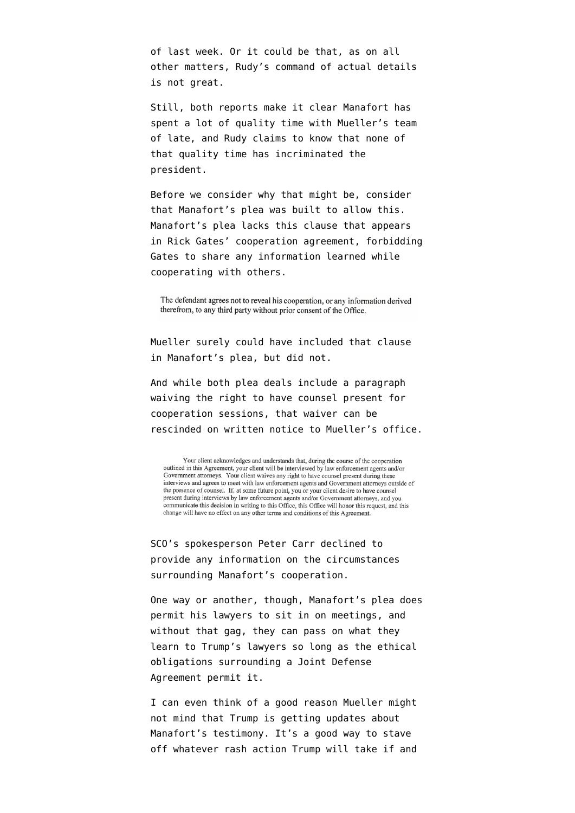of last week. Or it could be that, as on all other matters, Rudy's command of actual details is not great.

Still, both reports make it clear Manafort has spent a lot of quality time with Mueller's team of late, and Rudy claims to know that none of that quality time has incriminated the president.

Before we consider why that might be, consider that [Manafort's plea](https://www.justice.gov/file/1094151/download) was built to allow this. Manafort's plea lacks this clause that appears in [Rick Gates' cooperation agreement](https://www.justice.gov/file/1038801/download), forbidding Gates to share any information learned while cooperating with others.

The defendant agrees not to reveal his cooperation, or any information derived therefrom, to any third party without prior consent of the Office.

Mueller surely could have included that clause in Manafort's plea, but did not.

And while both plea deals include a paragraph waiving the right to have counsel present for cooperation sessions, that waiver can be rescinded on written notice to Mueller's office.

Your client acknowledges and understands that, during the course of the cooperation outlined in this Agreement, your client will be interviewed by law enforcement agents and/or Government attorneys. Your client waives any right to have counsel present during these interviews and agrees to meet with law enforcement agents and Government attorneys outside of the presence of counsel. If, at some future point, you or your client desire to have counsel present during interviews by law enforcement agents and/or Government attorneys, and you communicate this decision in writing to this Office, this Office will honor this request, and this change will have no effect on any other terms and conditions of this Agreement.

SCO's spokesperson Peter Carr declined to provide any information on the circumstances surrounding Manafort's cooperation.

One way or another, though, Manafort's plea does permit his lawyers to sit in on meetings, and without that gag, they can pass on what they learn to Trump's lawyers so long as the ethical obligations surrounding a Joint Defense Agreement permit it.

I can even think of a good reason Mueller might not mind that Trump is getting updates about Manafort's testimony. It's a good way to stave off whatever rash action Trump will take if and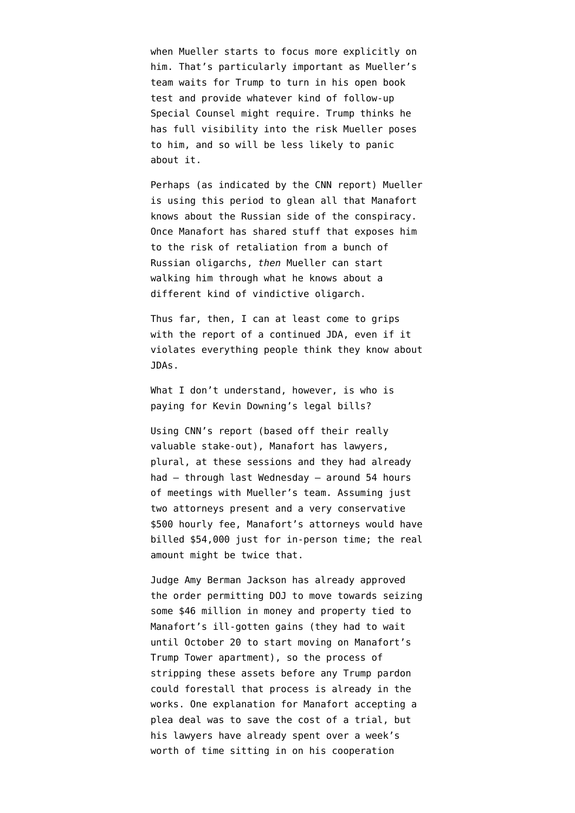when Mueller starts to focus more explicitly on him. That's particularly important as Mueller's team waits for Trump to turn in his [open book](https://www.emptywheel.net/2018/10/12/trumps-open-book-test-still-poses-a-big-perjury-risk/) [test](https://www.emptywheel.net/2018/10/12/trumps-open-book-test-still-poses-a-big-perjury-risk/) and provide whatever kind of follow-up Special Counsel might require. Trump thinks he has full visibility into the risk Mueller poses to him, and so will be less likely to panic about it.

Perhaps (as indicated by the CNN report) Mueller is using this period to glean all that Manafort knows about the Russian side of the conspiracy. Once Manafort has shared stuff that exposes him to the risk of retaliation from a bunch of Russian oligarchs, *then* Mueller can start walking him through what he knows about a different kind of vindictive oligarch.

Thus far, then, I can at least come to grips with the report of a continued JDA, even if it violates everything people think they know about JDAs.

What I don't understand, however, is who is paying for Kevin Downing's legal bills?

Using CNN's report (based off their really valuable stake-out), Manafort has lawyers, plural, at these sessions and they had already had — through last Wednesday — around 54 hours of meetings with Mueller's team. Assuming just two attorneys present and a very conservative \$500 hourly fee, Manafort's attorneys would have billed \$54,000 just for in-person time; the real amount might be twice that.

Judge Amy Berman Jackson has already [approved](https://www.courtlistener.com/recap/gov.uscourts.dcd.190597/gov.uscourts.dcd.190597.443.0_1.pdf) [the order](https://www.courtlistener.com/recap/gov.uscourts.dcd.190597/gov.uscourts.dcd.190597.443.0_1.pdf) permitting DOJ to move towards seizing some \$46 million in money and property tied to Manafort's ill-gotten gains (they had to wait until October 20 to start moving on Manafort's Trump Tower apartment), so the process of stripping these assets before any Trump pardon could forestall that process is already in the works. One explanation for Manafort accepting a plea deal was to save the cost of a trial, but his lawyers have already spent over a week's worth of time sitting in on his cooperation